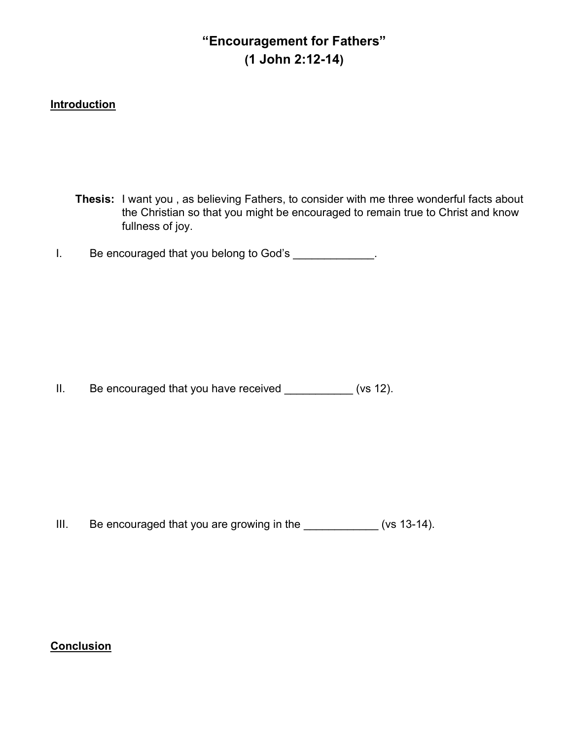# "Encouragement for Fathers" (1 John 2:12-14)

# **Introduction**

Thesis: I want you , as believing Fathers, to consider with me three wonderful facts about the Christian so that you might be encouraged to remain true to Christ and know fullness of joy.

I. Be encouraged that you belong to God's \_\_\_\_\_\_\_\_\_\_\_\_.

II. Be encouraged that you have received \_\_\_\_\_\_\_\_\_\_\_ (vs 12).

III. Be encouraged that you are growing in the \_\_\_\_\_\_\_\_\_\_\_\_\_ (vs 13-14).

Conclusion